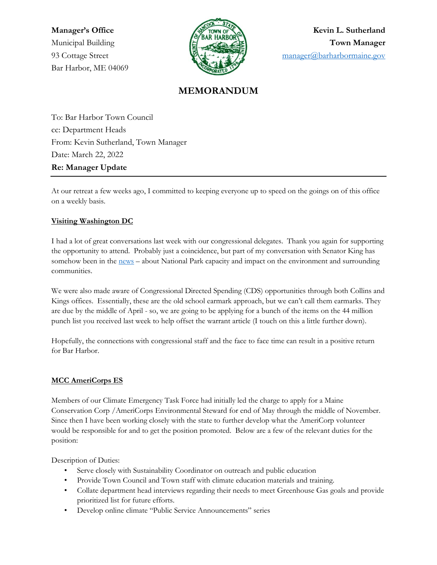Bar Harbor, ME 04069



**Manager's Office Kevin L. Sutherland** Municipal Building **Town Manager** 93 Cottage Street **1986** Cottage Street [manager@barharbormaine.gov](mailto:manager@barharbormaine.gov)

# **MEMORANDUM**

To: Bar Harbor Town Council cc: Department Heads From: Kevin Sutherland, Town Manager Date: March 22, 2022 **Re: Manager Update**

At our retreat a few weeks ago, I committed to keeping everyone up to speed on the goings on of this office on a weekly basis.

## **Visiting Washington DC**

I had a lot of great conversations last week with our congressional delegates. Thank you again for supporting the opportunity to attend. Probably just a coincidence, but part of my conversation with Senator King has somehow been in the [news](https://bangordailynews.com/2022/03/20/politics/angus-king-among-senators-who-want-to-know-impact-of-national-park-attendance/) – about National Park capacity and impact on the environment and surrounding communities.

We were also made aware of Congressional Directed Spending (CDS) opportunities through both Collins and Kings offices. Essentially, these are the old school earmark approach, but we can't call them earmarks. They are due by the middle of April - so, we are going to be applying for a bunch of the items on the 44 million punch list you received last week to help offset the warrant article (I touch on this a little further down).

Hopefully, the connections with congressional staff and the face to face time can result in a positive return for Bar Harbor.

# **MCC AmeriCorps ES**

Members of our Climate Emergency Task Force had initially led the charge to apply for a Maine Conservation Corp /AmeriCorps Environmental Steward for end of May through the middle of November. Since then I have been working closely with the state to further develop what the AmeriCorp volunteer would be responsible for and to get the position promoted. Below are a few of the relevant duties for the position:

Description of Duties:

- Serve closely with Sustainability Coordinator on outreach and public education
- Provide Town Council and Town staff with climate education materials and training.
- Collate department head interviews regarding their needs to meet Greenhouse Gas goals and provide prioritized list for future efforts.
- Develop online climate "Public Service Announcements" series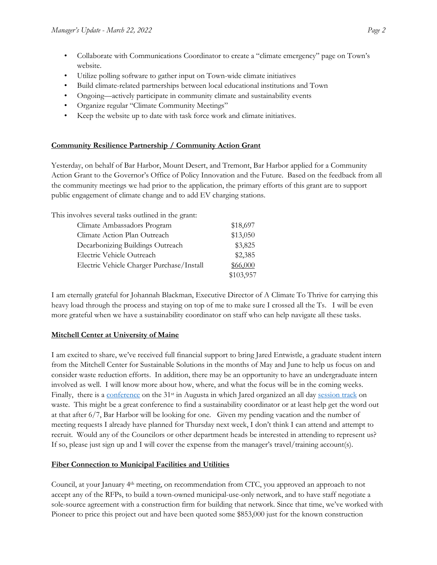- Collaborate with Communications Coordinator to create a "climate emergency" page on Town's website.
- Utilize polling software to gather input on Town-wide climate initiatives
- Build climate-related partnerships between local educational institutions and Town
- Ongoing—actively participate in community climate and sustainability events
- Organize regular "Climate Community Meetings"
- Keep the website up to date with task force work and climate initiatives.

#### **Community Resilience Partnership / Community Action Grant**

Yesterday, on behalf of Bar Harbor, Mount Desert, and Tremont, Bar Harbor applied for a Community Action Grant to the Governor's Office of Policy Innovation and the Future. Based on the feedback from all the community meetings we had prior to the application, the primary efforts of this grant are to support public engagement of climate change and to add EV charging stations.

This involves several tasks outlined in the grant:

| Climate Ambassadors Program               | \$18,697  |
|-------------------------------------------|-----------|
| Climate Action Plan Outreach              | \$13,050  |
| Decarbonizing Buildings Outreach          | \$3,825   |
| Electric Vehicle Outreach                 | \$2,385   |
| Electric Vehicle Charger Purchase/Install | \$66,000  |
|                                           | \$103,957 |

I am eternally grateful for Johannah Blackman, Executive Director of A Climate To Thrive for carrying this heavy load through the process and staying on top of me to make sure I crossed all the Ts. I will be even more grateful when we have a sustainability coordinator on staff who can help navigate all these tasks.

#### **Mitchell Center at University of Maine**

I am excited to share, we've received full financial support to bring Jared Entwistle, a graduate student intern from the Mitchell Center for Sustainable Solutions in the months of May and June to help us focus on and consider waste reduction efforts. In addition, there may be an opportunity to have an undergraduate intern involved as well. I will know more about how, where, and what the focus will be in the coming weeks. Finally, there is a [conference](https://umaine.edu/mitchellcenter/2022-maine-sustainability-water-conference/agenda/) on the 31<sup>st</sup> in Augusta in which Jared organized an all day [session track](https://umaine.edu/mitchellcenter/2022-maine-sustainability-water-conference/session-6-waste-track/) on waste. This might be a great conference to find a sustainability coordinator or at least help get the word out at that after 6/7, Bar Harbor will be looking for one. Given my pending vacation and the number of meeting requests I already have planned for Thursday next week, I don't think I can attend and attempt to recruit. Would any of the Councilors or other department heads be interested in attending to represent us? If so, please just sign up and I will cover the expense from the manager's travel/training account(s).

#### **Fiber Connection to Municipal Facilities and Utilities**

Council, at your January 4th meeting, on recommendation from CTC, you approved an approach to not accept any of the RFPs, to build a town-owned municipal-use-only network, and to have staff negotiate a sole-source agreement with a construction firm for building that network. Since that time, we've worked with Pioneer to price this project out and have been quoted some \$853,000 just for the known construction